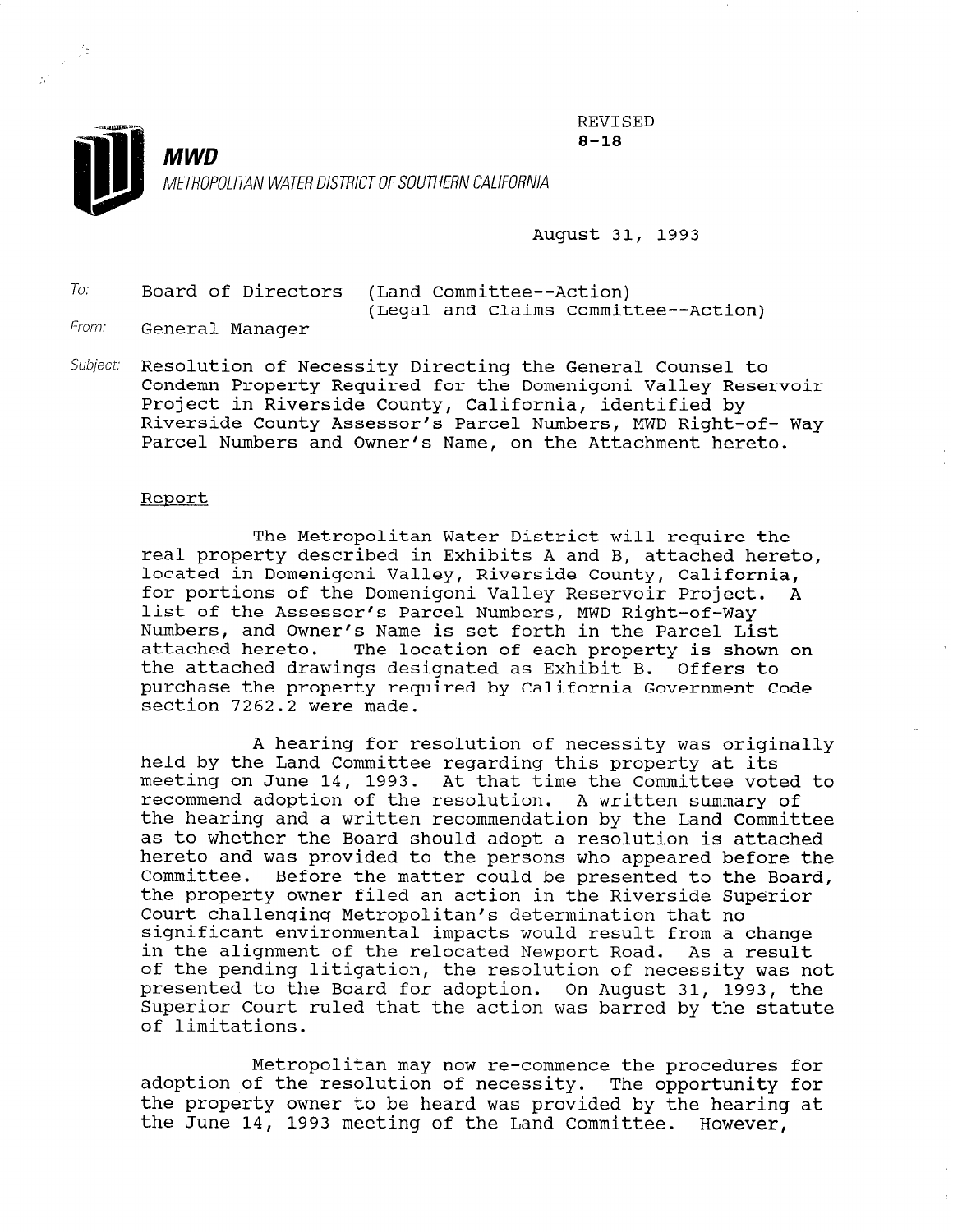

August 31, 1993

REVISED 8-18

To: Board of Directors (Land Committee--Action) (Legal and Claims Committee--Action)

From: General Manager

V.

Subject: Resolution of Necessity Directing the General Counsel to Condemn Property Required for the Domenigoni Valley Reservoir Project in Riverside County, California, identified by Riverside County Assessor's Parcel Numbers, MWD Right-of- Way Parcel Numbers and Owner's Name, on the Attachment hereto.

#### Report

The Metropolitan Water District will require the real property described in Exhibits A and B, attached hereto, located in Domenigoni Valley, Riverside County, California, for portions of the Domenigoni Valley Reservoir Project. A list of the Assessor's Parcel Numbers, MWD Right-of-Way Numbers, and Owner's Name is set forth in the Parcel List attached hereto. The location of each property is shown on the attached drawings designated as Exhibit B. Offers to purchase the property required by California Government Code section 7262.2 were made.

A hearing for resolution of necessity was originally held by the Land Committee regarding this property at its meeting on June 14, 1993. At that time the Committee voted to recommend adoption of the resolution. A written summary of the hearing and a written recommendation by the Land Committee as to whether the Board should adopt a resolution is attached hereto and was provided to the persons who appeared before the Committee. Before the matter could be presented to the Board, the property owner filed an action in the Riverside Superior Court challenging Metropolitan's determination that no significant environmental impacts would result from a change in the alignment of the relocated Newport Road. As a result in the alignment of the relocated Newport Road. As a result<br>of the pending litigation, the resolution of necessity was not presented to the Board for adoption. On August 31, 1993, the presenced to the board for adoption. On August 31, 1993, the Superior Court ruled that the action was barred by the statute of limitations.

Metropolitan may now re-commence the procedures for  $\mathbf{r}$ metropolitan may now re-commence the procedures for<br>colontion of the resolution of necessity. The curriculate for adoption of the resolution of necessity. The opportunity for the property owner to be heard was provided by the hearing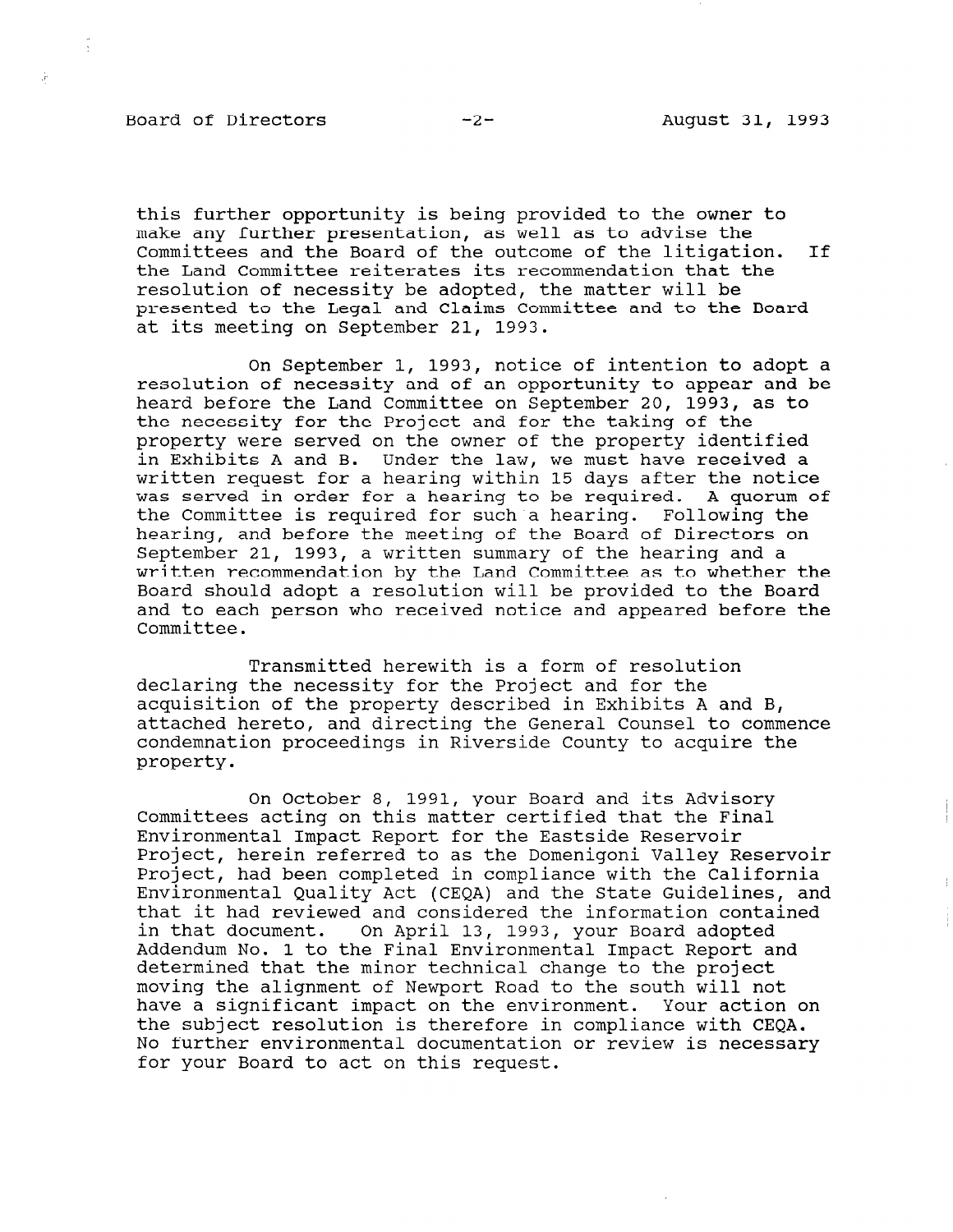#### Board of Directors -2- -2- August 31, 1993

 $\frac{1}{2}$ 

à.

this further opportunity is being provided to the owner to make any further presentation, as well as to advise the Committees and the Board of the outcome of the litigation. If the Land Committee reiterates its recommendation that the resolution of necessity be adopted, the matter will be presented to the Legal and Claims Committee and to the Board at its meeting on September 21, 1993.

On September 1, 1993, notice of intention to adopt a resolution of necessity and of an opportunity to appear and be heard before the Land Committee on September 20, 1993, as to the necessity for the Project and for the taking of the property were served on the owner of the property identified in Exhibits A and B. Under the law, we must have received a written request for a hearing within 15 days after the notice was served in order for a hearing to be required. A quorum of the Committee is required for such a hearing. Following the hearing, and before the meeting of the Board of Directors on September 21, 1993, a written summary of the hearing and a written recommendation by the Land Committee as to whether the Board should adopt a resolution will be provided to the Board and to each person who received notice and appeared before the Committee.

Transmitted herewith is a form of resolution declaring the necessity for the Project and for the acquisition of the property described in Exhibits A and B, attached hereto, and directing the General Counsel to commence condemnation proceedings in Riverside County to acquire the property.

On October 8, 1991, your Board and its Advisory Committees acting on this matter certified that the Final Environmental Impact Report for the Eastside Reservoir Project, herein referred to as the Domenigoni Valley Reservoir Project, had been completed in compliance with the California Environmental Quality Act (CEQA) and the State Guidelines, and that it had reviewed and considered the information contained in that document. On April 13, 1993, your Board adopted Addendum No. 1 to the Final Environmental Impact Report and determined that the minor technical change to the project determined that the minor technical change to the project moving the alignment of Newport Road to the south will not have a significant impact on the environment. Your action on the subject resolution is therefore in compliance with CEOA. No further environmental documentation or review is necessary<br>for your Board to act on this request.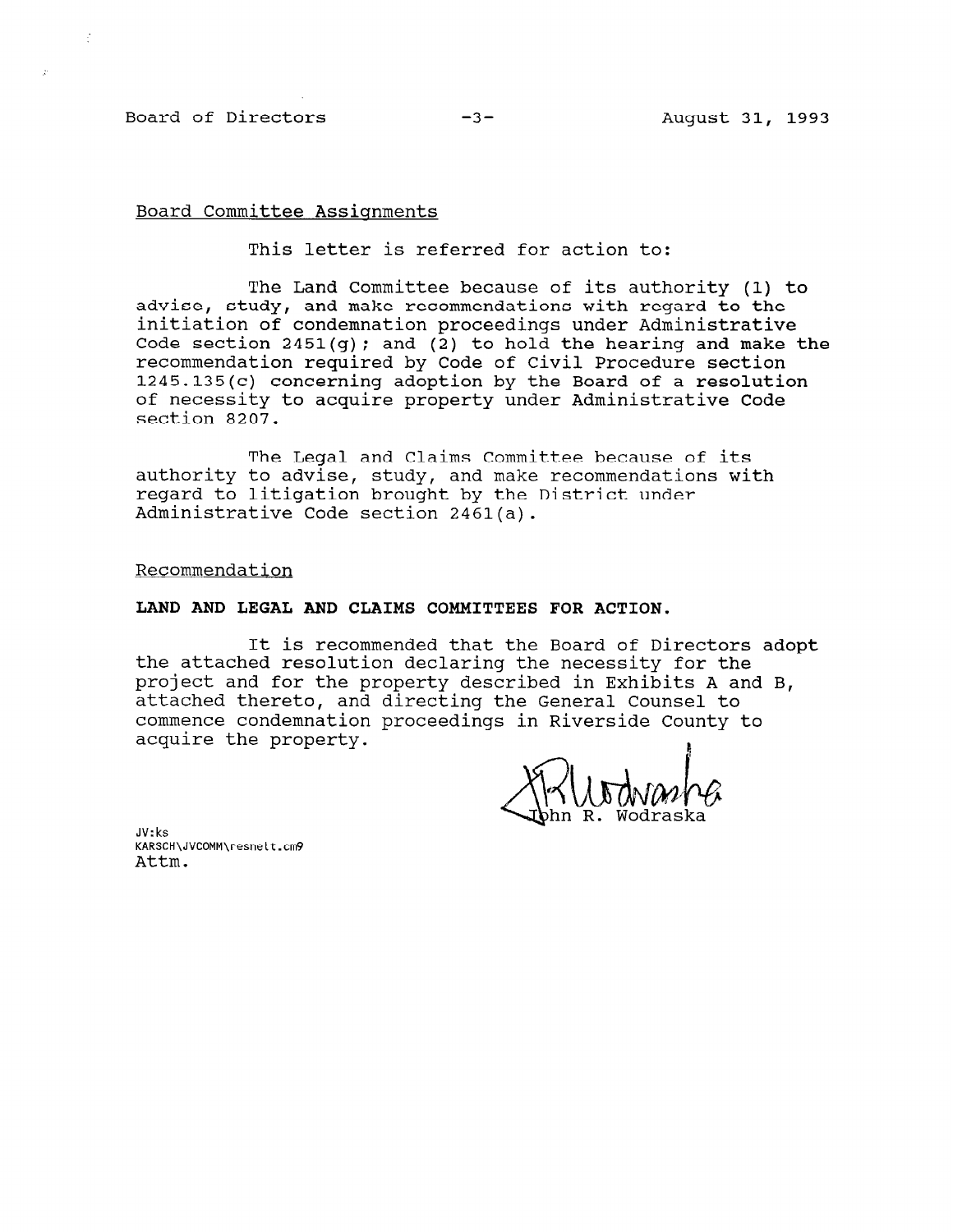### Board of Directors -3- August 31, 1993

 $\mathcal{I}$ 

## Board Committee Assignments

This letter is referred for action to:

The Land Committee because of its authority (1) to advise, study, and make recommendations with regard to the initiation of condemnation proceedings under Administrative Code section 2451(q); and (2) to hold the hearing and make the recommendation required by Code of Civil Procedure section 1245.135(c) concerning adoption by the Board of a resolution of necessity to acquire property under Administrative Code section 8207.

The Legal and Claims Committee because of its authority to advise, study, and make recommendations with regard to litigation brought by the District under Administrative Code section 2461(a).

Recommendation

## LAND AND LEGAL AND CLAIMS COMMITTEES FOR ACTION.

It is recommended that the Board of Directors adopt the attached resolution declaring the necessity for the project and for the property described in Exhibits A and B, attached thereto, and directing the General Counsel to commence condemnation proceedings in Riverside County to acquire the property.

JV:ks KARSCH\JVCOMM\resnelt.cm9 Attm.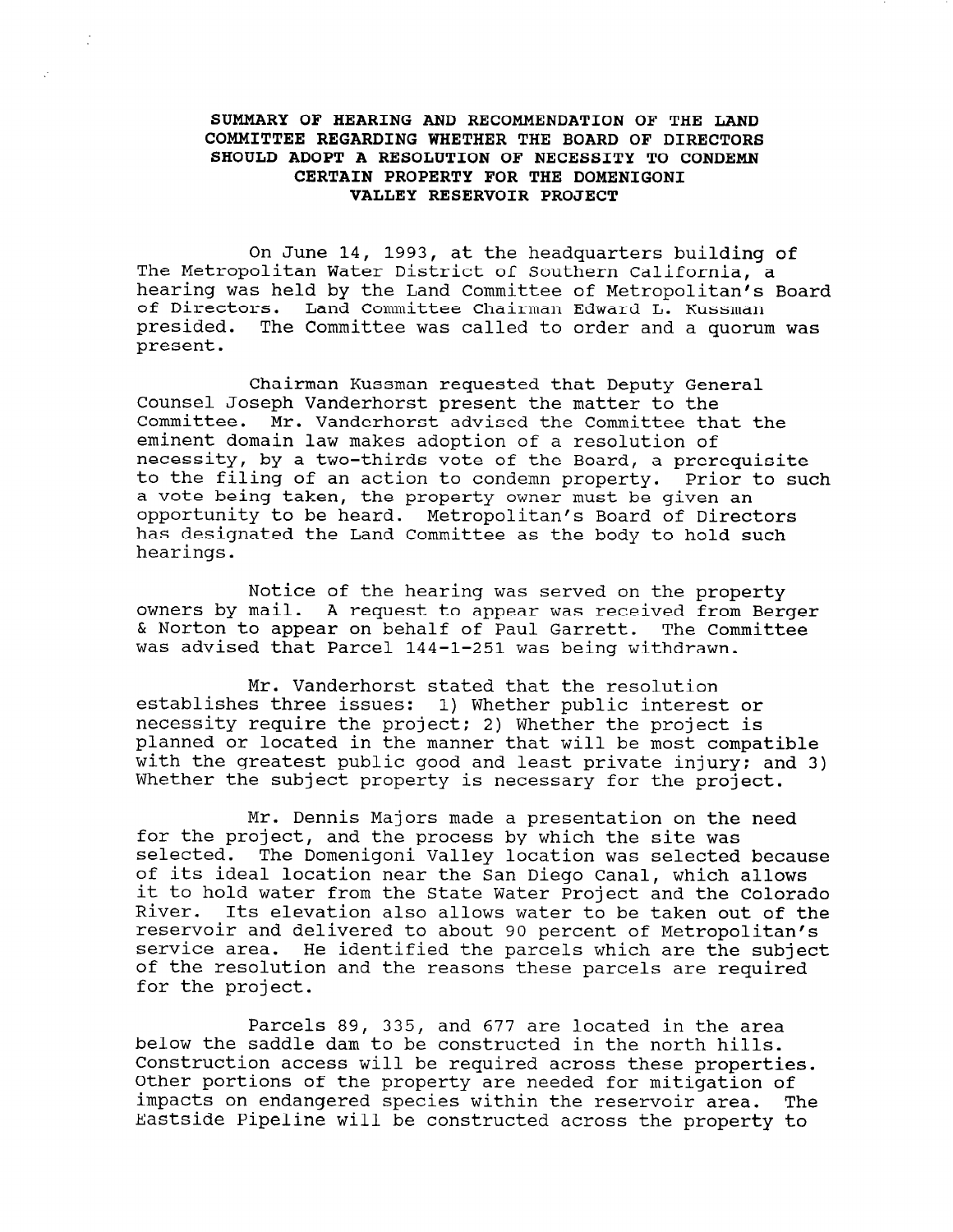# SUMMARY OF HEARING AND RECOMMENDATION OF THE LAND COMMITTEE REGARDING WHETHER THE BOARD OF DIRECTORS SHOULD ADOPT A RESOLUTION OF NECESSITY TO CONDEMN CERTAIN PROPERTY FOR THE DOMENIGONI VALLEY RESERVOIR PROJECT

On June 14, 1993, at the headquarters building of The Metropolitan Water District of Southern California, a hearing was held by the Land Committee of Metropolitan's Board of Directors. Land Committee Chairman Edward L. Kussman presided. The Committee was called to order and a quorum was present.

Chairman Kussman requested that Deputy General Counsel Joseph Vanderhorst present the matter to the Committee. Mr. Vanderhorst advised the Committee that the eminent domain law makes adoption of a resolution of necessity, by a two-thirds vote of the Board, a prerequisite to the filing of an action to condemn property. Prior to such a vote being taken, the property owner must be given an opportunity to be heard. Metropolitan's Board of Directors has designated the Land Committee as the body to hold such hearings.

Notice of the hearing was served on the property owners by mail. A request to appear was received from Berger & Norton to appear on behalf of Paul Garrett. The Committee was advised that Parcel 144-1-251 was being withdrawn.

Mr. Vanderhorst stated that the resolution establishes three issues: 1) Whether public interest or necessity require the project; 2) Whether the project is planned or located in the manner that will be most compatible with the greatest public good and least private injury; and 3) Whether the subject property is necessary for the project.

Mr. Dennis Majors made a presentation on the need for the project, and the process by which the site was selected. The Domenigoni Valley location was selected because  $\sim$  its ideal location near the  $\sim$  diego Canal, which allows  $\sim$ of its ideal location near the San Diego Canal, which allows<br>it to hold water from the State Water Project and the Colorado River. Its elevation also allows water to be taken out of the river. Its elevation also allows water to be taken out servoir and derry the computer which are the parties which are the subject which are the subject of the subject of the subject of the subject of the subject of the subject of the subject of the subject of the subject of th  $\epsilon$  the resolution and the reasons the reasons the required the required  $\epsilon$ for the project.

Parcels 89, 335, and 677 are located in the area below the saddle to be constructed in the and  $\frac{1}{2}$  and  $\frac{1}{2}$  and  $\frac{1}{2}$  are idealed in the angle of the  $\frac{1}{2}$ Delow the saddle dam to be constructed in the horth hills Construction access will be required across these properties. Other portions of the property are needed for mitigation of impacts on endangered species within the reservoir area. The impacts on endangered species within the reservoir area. The<br>Eastside Pipeline will be constructed across the property to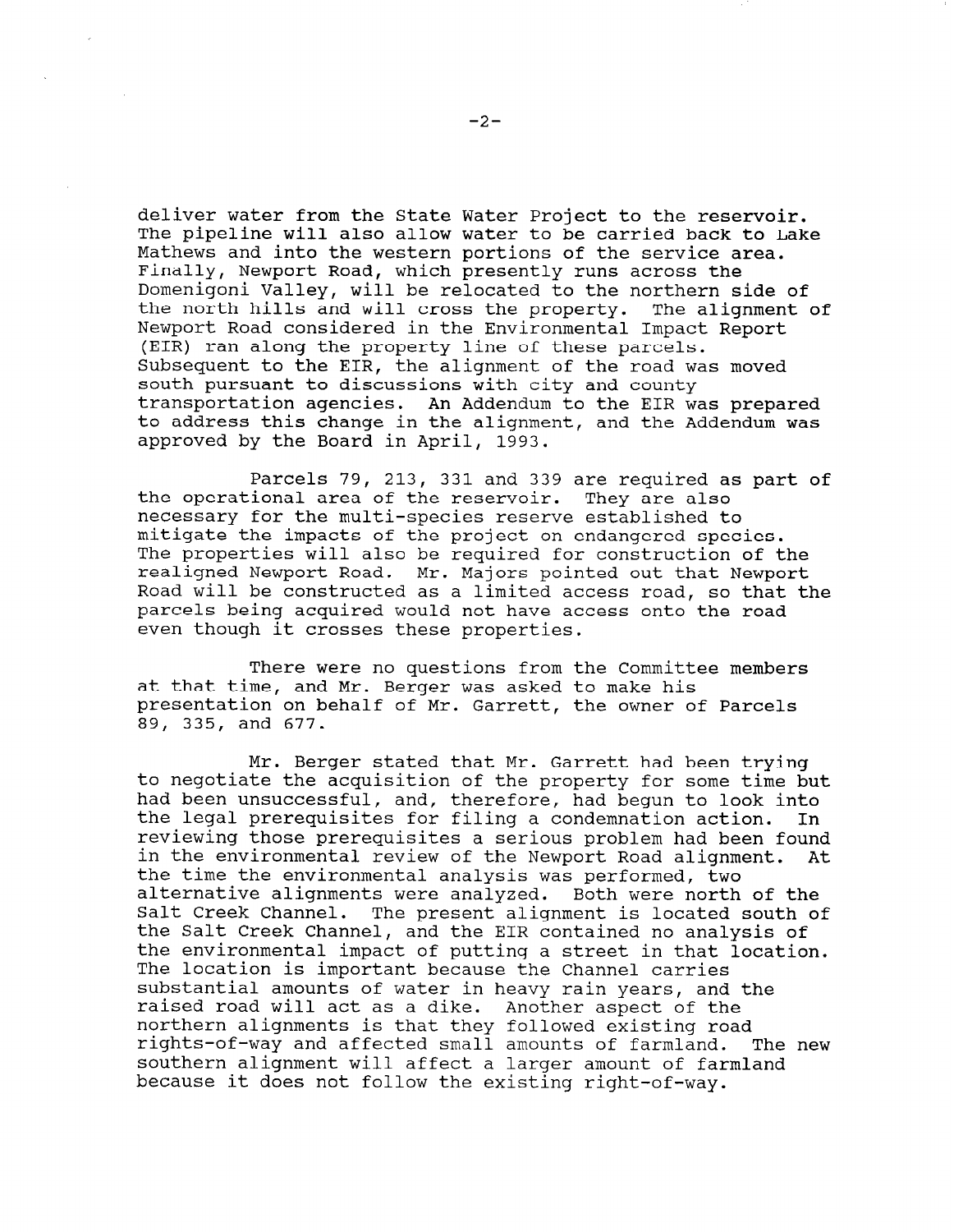deliver water from the State Water Project to the reservoir. The pipeline will also allow water to be carried back to Lake Mathews and into the western portions of the service area. Finally, Newport Road, which presently runs across the Domenigoni Valley, will be relocated to the northern side of the north hills and will cross the property. The alignment of Newport Road considered in the Environmental Impact Report (EIR) ran along the property line of these parcels. Subsequent to the EIR, the alignment of the road was moved south pursuant to discussions with city and county transportation agencies. An Addendum to the EIR was prepared to address this change in the alignment, and the Addendum was approved by the Board in April, 1993.

Parcels 79, 213, 331 and 339 are required as part of the operational area of the reservoir. They are also necessary for the multi-species reserve established to mitigate the impacts of the project on endangered species. The properties will also be required for construction of the realigned Newport Road. Mr. Majors pointed out that Newport Road will be constructed as a limited access road, so that the parcels being acquired would not have access onto the road even though it crosses these properties.

There were no questions from the Committee members at that time, and Mr. Berger was asked to make his presentation on behalf of Mr. Garrett, the owner of Parcels 89, 335, and 677.

Mr. Berger stated that Mr. Garrett had been trying to negotiate the acquisition of the property for some time but had been unsuccessful, and, therefore, had begun to look into the legal prerequisites for filing a condemnation action. In reviewing those prerequisites a serious problem had been found in the environmental review of the Newport Road alignment. At the time the environmental analysis was performed, two alternative alignments were analyzed. Both were north of the Salt Creek Channel. The present alignment is located south of the Salt Creek Channel, and the EIR contained no analysis of the environmental impact of putting a street in that location. The location is important because the Channel carries substantial amounts of water in heavy rain years, and the raised road will act as a dike. Another aspect of the northern alignments is that they followed existing road rights-of-way and a fected small amounts of farmland. The new  $\frac{1}{2}$  $s$  is the southern alignment will allow a larger and  $s$  farmland. southern alignment will affect a larger amount of farmland<br>because it does not follow the existing right-of-way.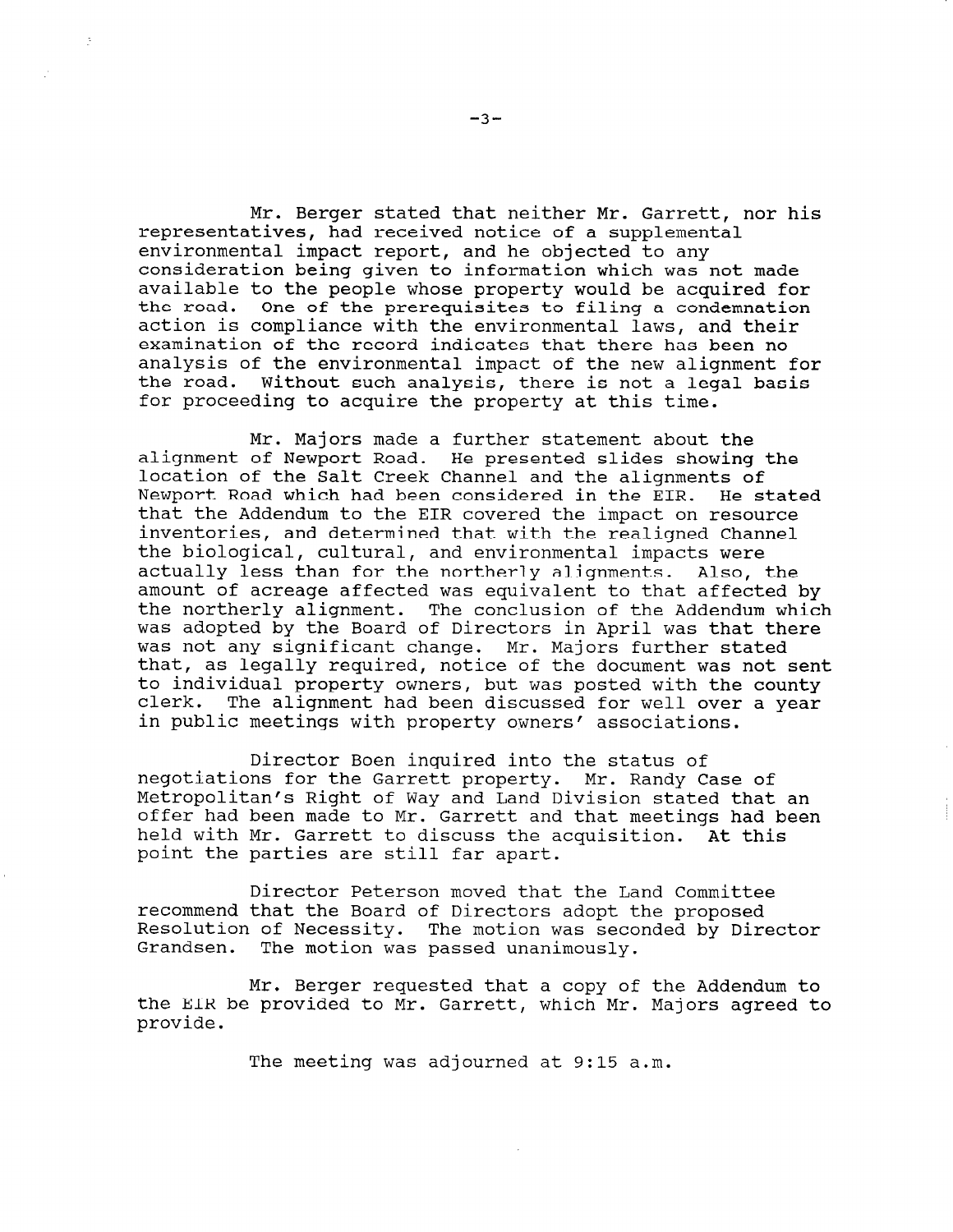Mr. Berger stated that neither Mr. Garrett, nor his representatives, had received notice of a supplemental environmental impact report, and he objected to any consideration being given to information which was not made available to the people whose property would be acquired for the road. One of the prerequisites to filing a condemnation action is compliance with the environmental laws, and their examination of the record indicates that there has been no analysis of the environmental impact of the new alignment for the road. Without such analysis, there is not a legal basis for proceeding to acquire the property at this time.

Mr. Majors made a further statement about the alignment of Newport Road. He presented slides showing the location of the Salt Creek Channel and the alignments of Newport Road which had been considered in the EIR. He stated that the Addendum to the EIR covered the impact on resource inventories, and determined that with the realigned Channel the biological, cultural, and environmental impacts were actually less than for the northerly alignments. Also, the amount of acreage affected was equivalent to that affected by the northerly alignment. The conclusion of the Addendum which was adopted by the Board of Directors in April was that there was not any significant change. Mr. Majors further stated that, as legally required, notice of the document was not sent to individual property owners, but was posted with the county clerk. The alignment had been discussed for well over a year in public meetings with property owners' associations.

Director Boen inquired into the status of negotiations for the Garrett property. Mr. Randy Case of Metropolitan's Right of Way and Land Division stated that an offer had been made to Mr. Garrett and that meetings had been held with Mr. Garrett to discuss the acquisition. At this point the parties are still far apart.

Director Peterson moved that the Land Committee recommend that the Board of Directors adopt the proposed recommend that the board of Directors adopt the proposed<br>Deselution of Necessity. The motion was seconded by Direct Grandsen. The motion was passed unanimous

Mr. Berger requested that a copy of the Addendum to nt. beiger requested that a copy of the Addendum to the EIR be provided to Mr. Garrett, which Mr. Majors agreed to provide.

The meeting was adjourned at 9:15 a.m.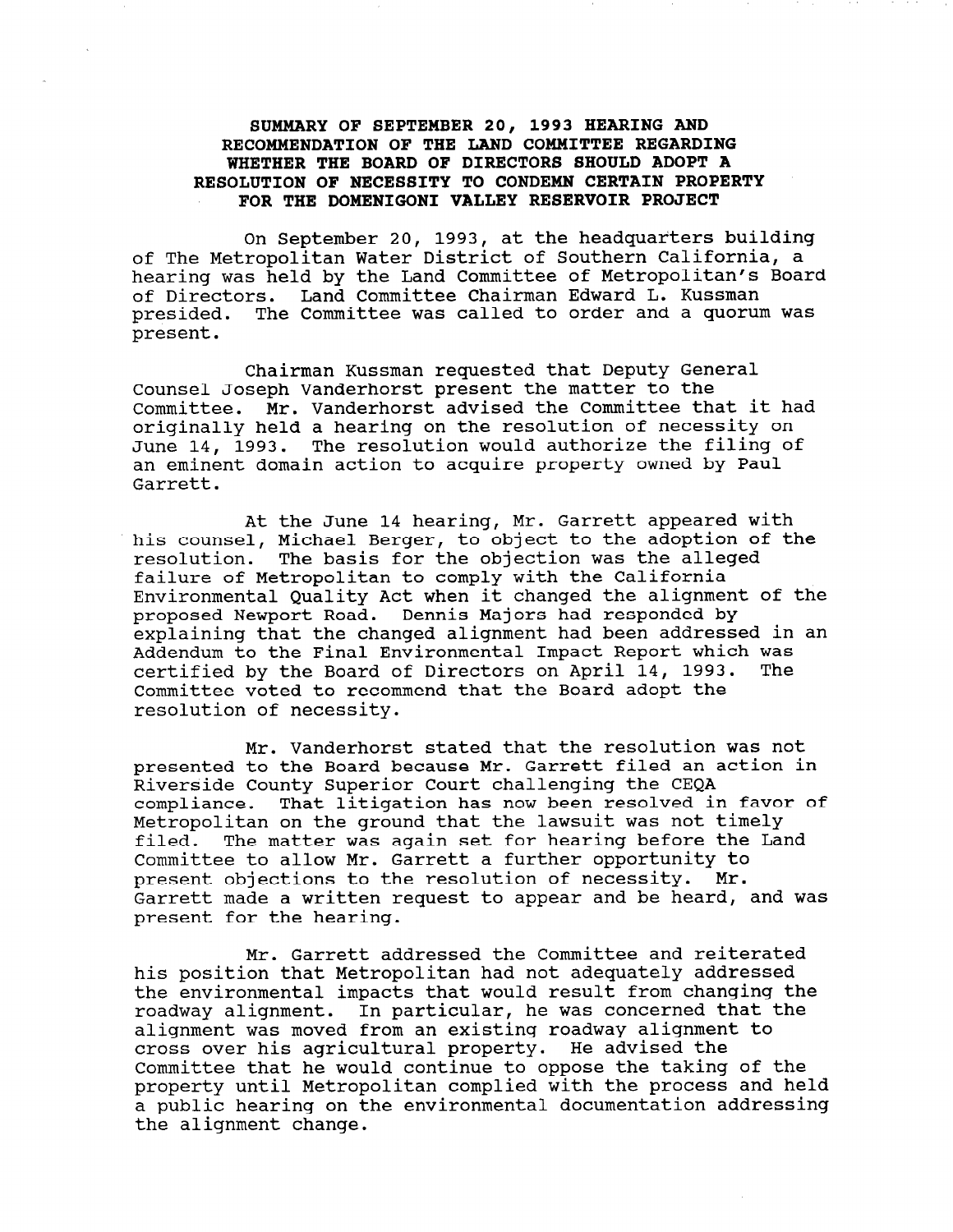# SUMMARY OF SEPTEMBER 20, 1993 HEARING AND RECOMMENDATION OF THE LAND COMMITTEE REGARDING WHETHER THE BOARD OF DIRECTORS SHOULD ADOPT A RESOLUTION OF NECESSITY TO CONDEMN CERTAIN PROPERTY FOR THE DOMENIGONI VALLEY RESERVOIR PROJECT

On September 20, 1993, at the headquarters building of The Metropolitan Water District of Southern California, a hearing was held by the Land Committee of Metropolitan's Board of Directors. Land Committee Chairman Edward L. Kussman presided. The Committee was called to order and a quorum was present.

Chairman Kussman requested that Deputy General Counsel Joseph Vanderhorst present the matter to the Committee. Mr. Vanderhorst advised the Committee that it had originally held a hearing on the resolution of necessity on June 14, 1993. The resolution would authorize the filing of an eminent domain action to acquire property owned by Paul Garrett.

At the June 14 hearing, Mr. Garrett appeared with his counsel, Michael Berger, to object to the adoption of the resolution. The basis for the objection was the alleged failure of Metropolitan to comply with the California Environmental Quality Act when it changed the alignment of the proposed Newport Road. Dennis Majors had responded by explaining that the changed alignment had been addressed in an Addendum to the Final Environmental Impact Report which was certified by the Board of Directors on April 14, 1993. The Committee voted to recommend that the Board adopt the resolution of necessity.

Mr. Vanderhorst stated that the resolution was not presented to the Board because Mr. Garrett filed an action in Riverside County Superior Court challenging the CEQA compliance. That litigation has now been resolved in favor of Metropolitan on the ground that the lawsuit was not timely filed. The matter was again set for hearing before the Land Committee to allow Mr. Garrett a further opportunity to present objections to the resolution of necessity. Mr. Garrett made a written request to appear and be heard, and was present for the hearing.

Mr. Garrett addressed the Committee and reiterated his position that Metropolitan had not adequately addressed the environmental impacts that would result from changing the roadway alignment. Impacts that would result from changing the second that the was dependent of that alignment was moved from an existing roadway alignment to alignment was moved from an existing roadway alignment to cross over his agricultural property. He advised the CIOSS OVER HIS agricultural property. He auvised the committee that he would continue to oppose the taxing of the property until netroportican compiled with the process and net d public nearing on<br>the alignment change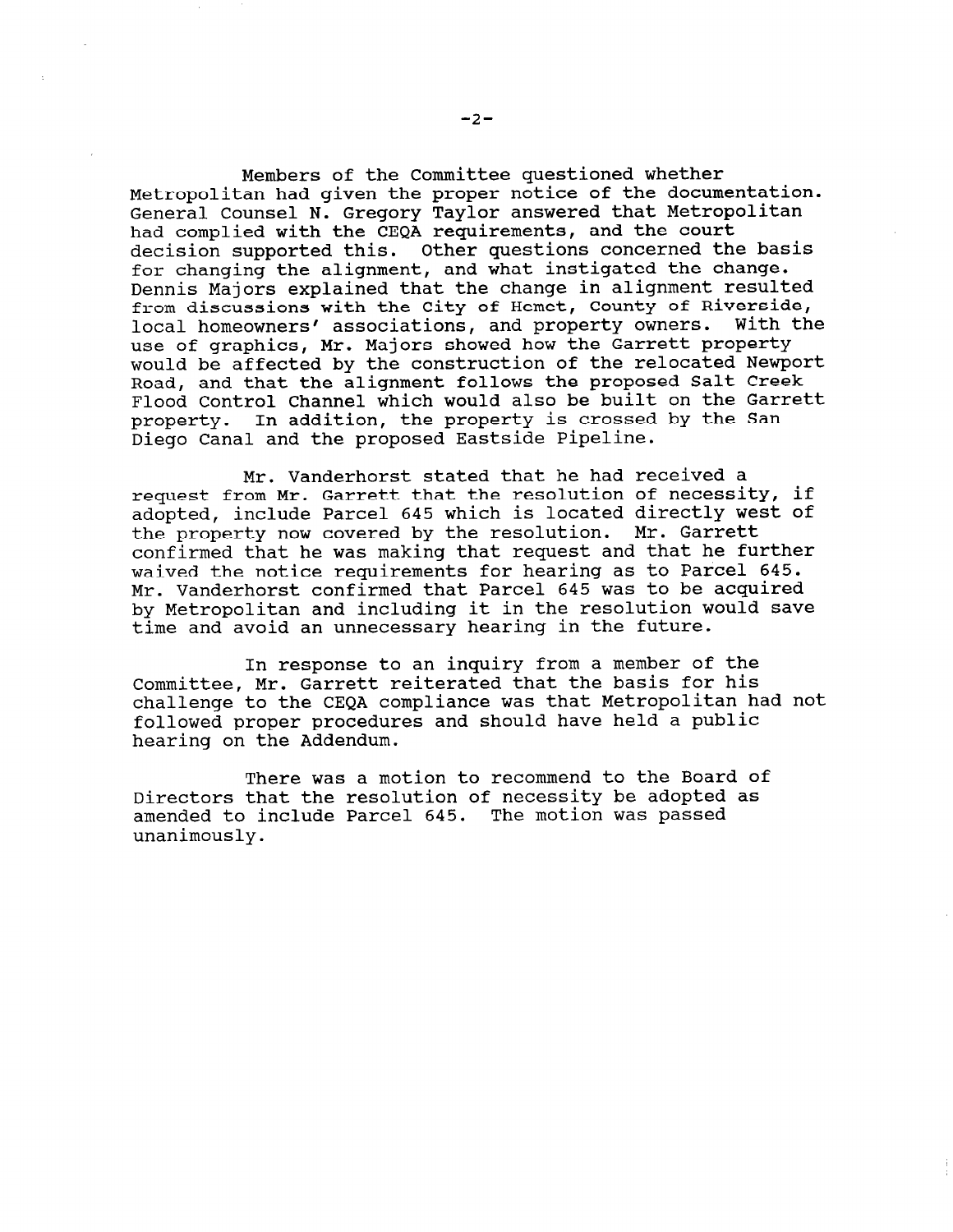Members of the Committee questioned whether Metropolitan had given the proper notice of the documentation. General Counsel N. Gregory Taylor answered that Metropolitan had complied with the CEQA requirements, and the court decision supported this. Other questions concerned the basis for changing the alignment, and what instigated the change. Dennis Majors explained that the change in alignment resulted from discussions with the City of Hemet, County of Riverside, local homeowners' associations, and property owners. With the use of graphics, Mr. Majors showed how the Garrett property would be affected by the construction of the relocated Newport Road, and that the alignment follows the proposed Salt Creek Flood Control Channel which would also be built on the Garrett property. In addition, the property is crossed by the San Diego Canal and the proposed Eastside Pipeline.

Mr. Vanderhorst stated that he had received a request from Mr. Garrett that the resolution of necessity, if adopted, include Parcel 645 which is located directly west of the property now covered by the resolution. Mr. Garrett confirmed that he was making that request and that he further waived the notice requirements for hearing as to Parcel 645. Mr. Vanderhorst confirmed that Parcel 645 was to be acquired by Metropolitan and including it in the resolution would save time and avoid an unnecessary hearing in the future.

In response to an inquiry from a member of the Committee, Mr. Garrett reiterated that the basis for his challenge to the CEQA compliance was that Metropolitan had not followed proper procedures and should have held a public hearing on the Addendum.

There was a motion to recommend to the Board of Directors that the resolution of necessity be adopted as amended to include Parcel 645. The motion was passed unanimously.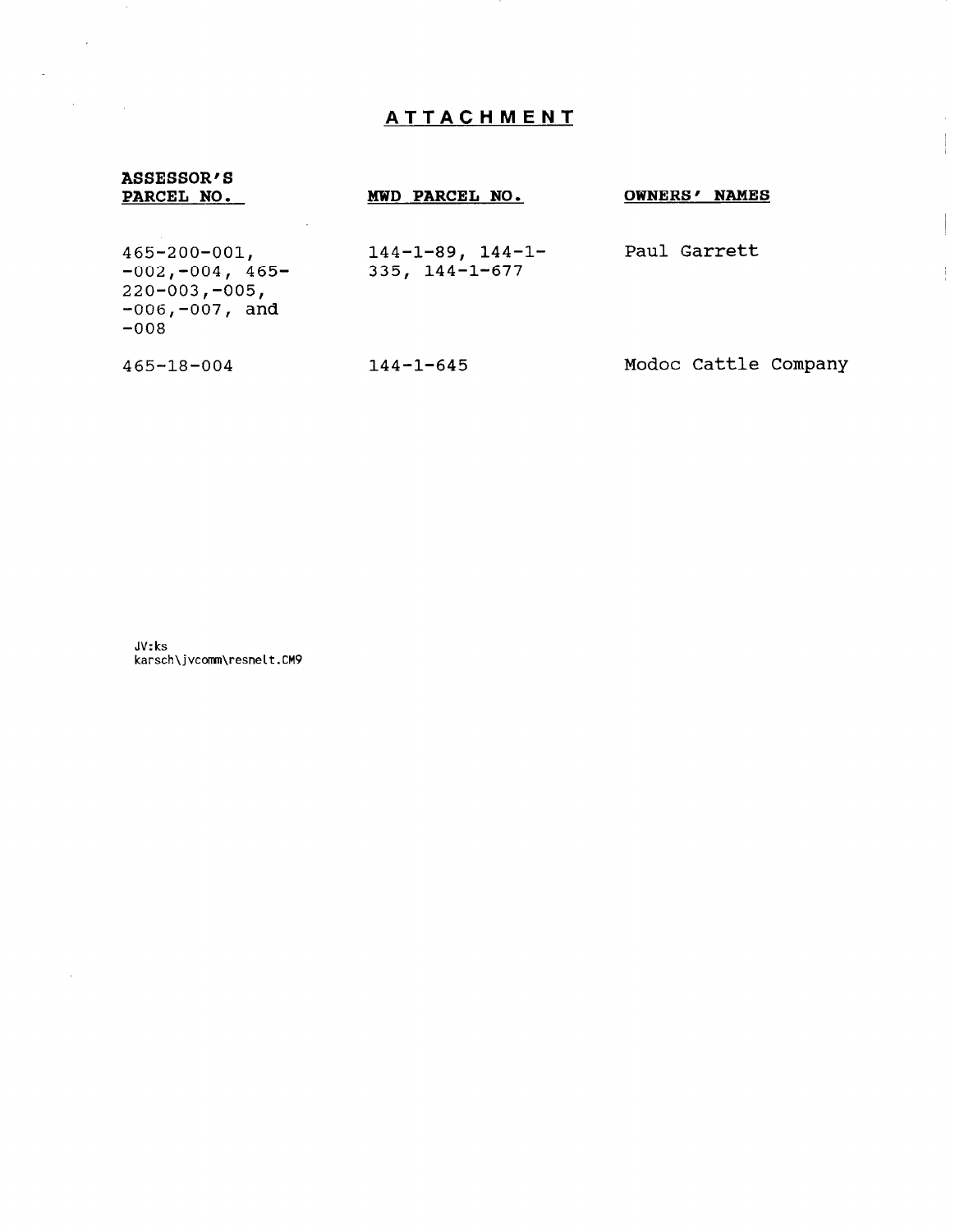# ATTACHMENT

# ASSESSOR'S<br>PARCEL NO.

 $\mathcal{L}^{\text{max}}$  ,  $\mathcal{L}^{\text{max}}$ 

 $\label{eq:2.1} \mathcal{L}^{\text{max}}_{\text{max}}(\mathcal{L}^{\text{max}}_{\text{max}}(\mathcal{L}^{\text{max}}_{\text{max}}))$ 

 $\sim 10^{-1}$ 

 $\sigma$  .

# MWD PARCEL NO. OWNERS' NAMES

 $\begin{array}{c} \begin{array}{c} \begin{array}{c} \begin{array}{c} \end{array} \\ \begin{array}{c} \end{array} \end{array} \end{array} \end{array}$ 

 $\frac{1}{2}$ 

| $465 - 200 - 001$ ,<br>$-002, -004, 465-$<br>$220 - 003, -005,$<br>$-006, -007,$ and<br>$-008$ | $144 - 1 - 89$ , $144 - 1 -$<br>$335, 144 - 1 - 677$ | Paul Garrett         |
|------------------------------------------------------------------------------------------------|------------------------------------------------------|----------------------|
| $465 - 18 - 004$                                                                               | $144 - 1 - 645$                                      | Modoc Cattle Company |

JV: ks karsch\jvcomm\resnelt.CM9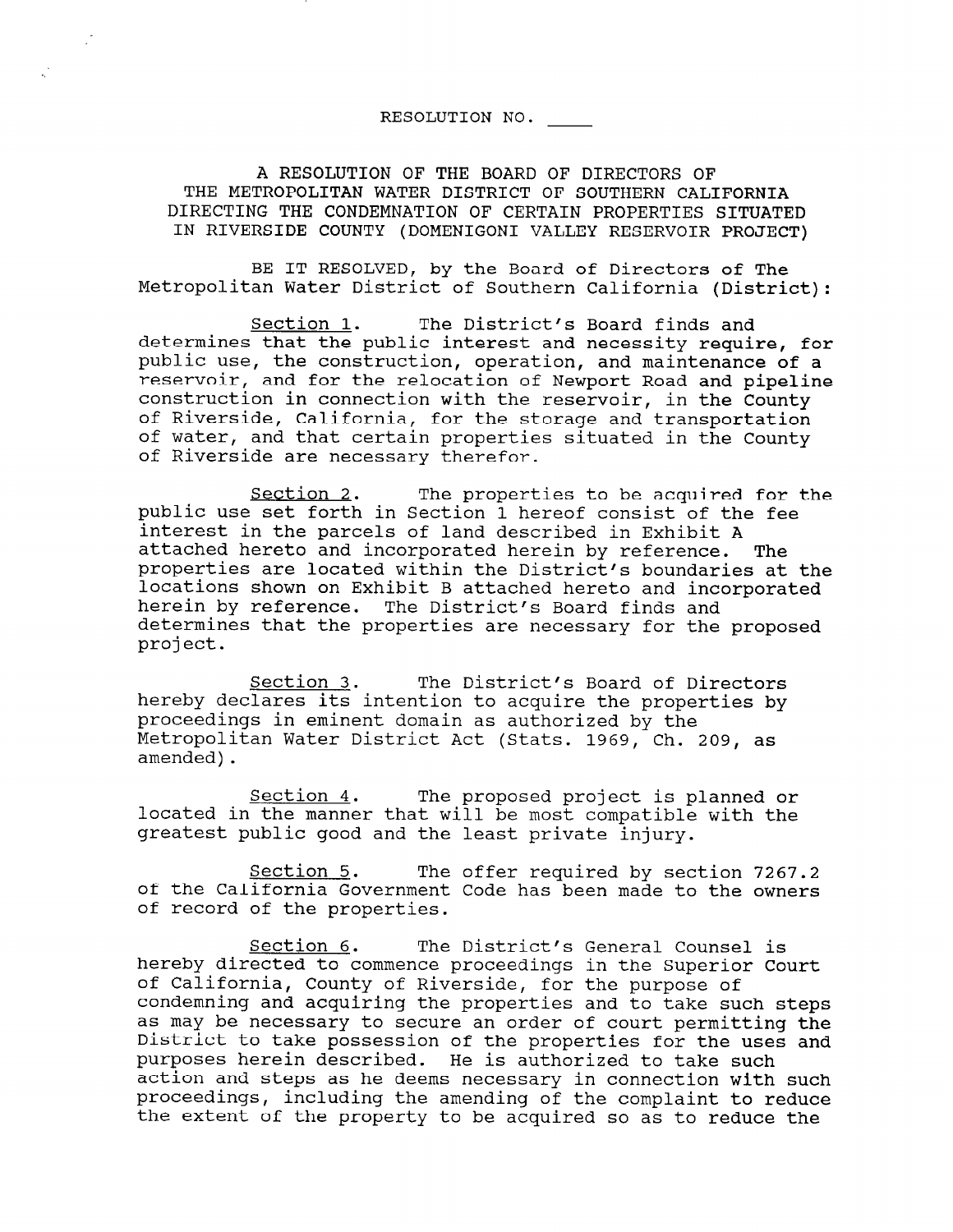# RESOLUTION NO.

A RESOLUTION OF THE BOARD OF DIRECTORS OF THE METROPOLITAN WATER DISTRICT OF SOUTHERN CALIFORNIA DIRECTING THE CONDEMNATION OF CERTAIN PROPERTIES SITUATED IN RIVERSIDE COUNTY (DOMENIGONI VALLEY RESERVOIR PROJECT)

BE IT RESOLVED, by the Board of Directors of The Metropolitan Water District of Southern California (District):

Section 1. The District's Board finds and determines that the public interest and necessity require, for public use, the construction, operation, and maintenance of a reservoir, and for the relocation of Newport Road and pipeline construction in connection with the reservoir, in the County of Riverside, California, for the storage and transportation of water, and that certain properties situated in the County of Riverside are necessary therefor.

Section 2. The properties to be acquired for the public use set forth in Section 1 hereof consist of the fee interest in the parcels of land described in Exhibit A attached hereto and incorporated herein by reference. The properties are located within the District's boundaries at the locations shown on Exhibit B attached hereto and incorporated herein by reference. The District's Board finds and determines that the properties are necessary for the proposed project.

Section 3. The District's Board of Directors hereby declares its intention to acquire the properties by proceedings in eminent domain as authorized by the Metropolitan Water District Act (Stats. 1969, Ch. 209, as amended).

Section 4. The proposed project is planned or located in the manner that will be most compatible with the greatest public good and the least private injury.

Section 5. The offer required by section 7267.2 of the California Covernment Code has been made to the owners of the california Government:

Section 6. The District's General Counsel is <u>bection o</u>. The District's General Counsel is of California, County of Riverside, for the purpose of of california, county of kiverside, for the purpose of the such steps. condemning and acquiring the properties and to take such steps as may be necessary to secure an order of court permitting the District to take possession of the properties for the uses and purposes herein described. He is authorized to take such action and steps as he deems necessary in connection with such proceedings, including the amending of the complaint to reduce<br>the extent of the property to be acquired so as to reduce the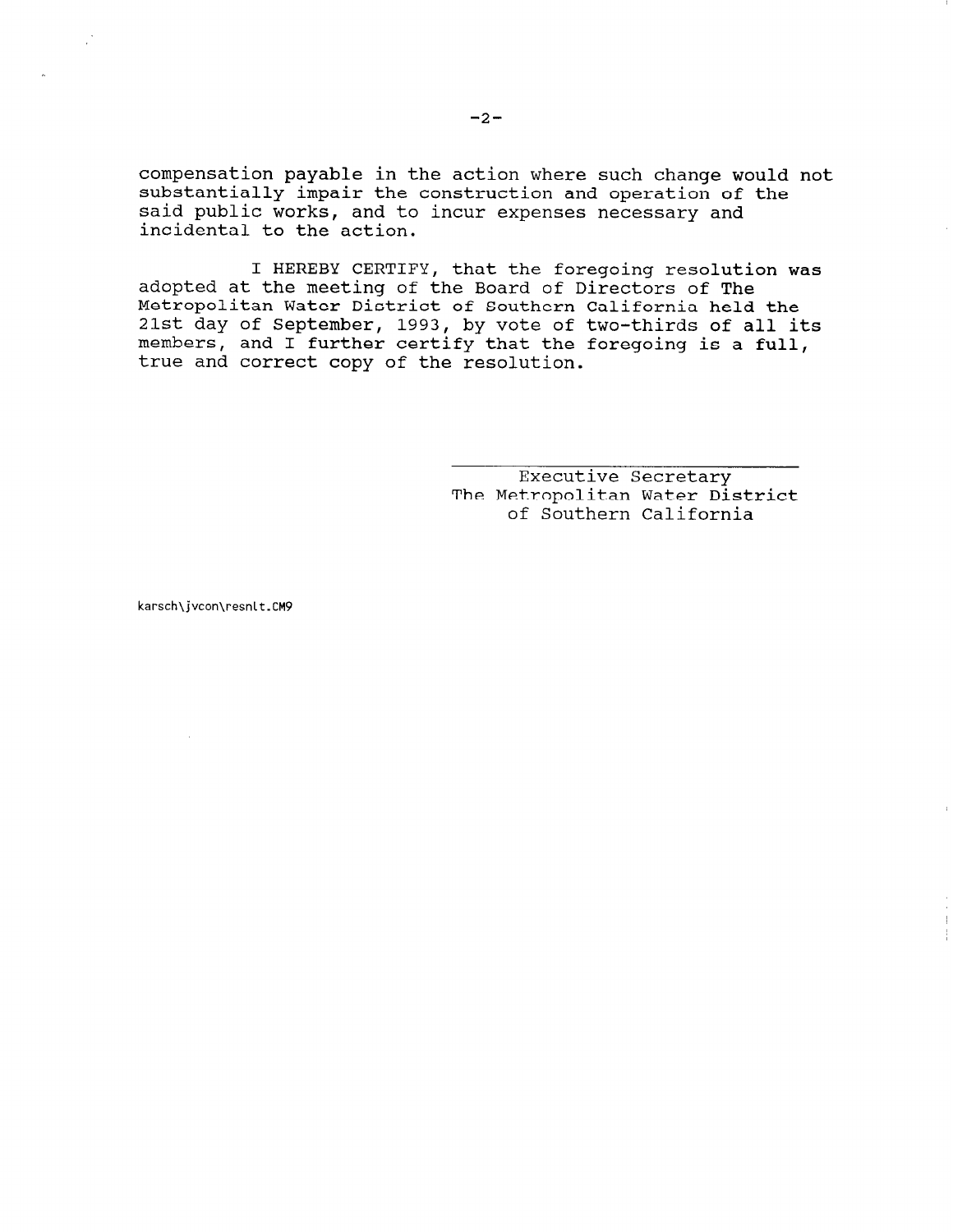compensation payable in the action where such change would not substantially impair the construction and operation of the said public works, and to incur expenses necessary and incidental to the action.

I HEREBY CERTIFY, that the foregoing resolution was adopted at the meeting of the Board of Directors of The Metropolitan Water District of Southern California held the 21st day of September, 1993, by vote of two-thirds of all its members, and I further certify that the foregoing is a full, true and correct copy of the resolution.

> Executive Secretary The Metropolitan Water District of Southern California

karsch\jvcon\resnlt.CM9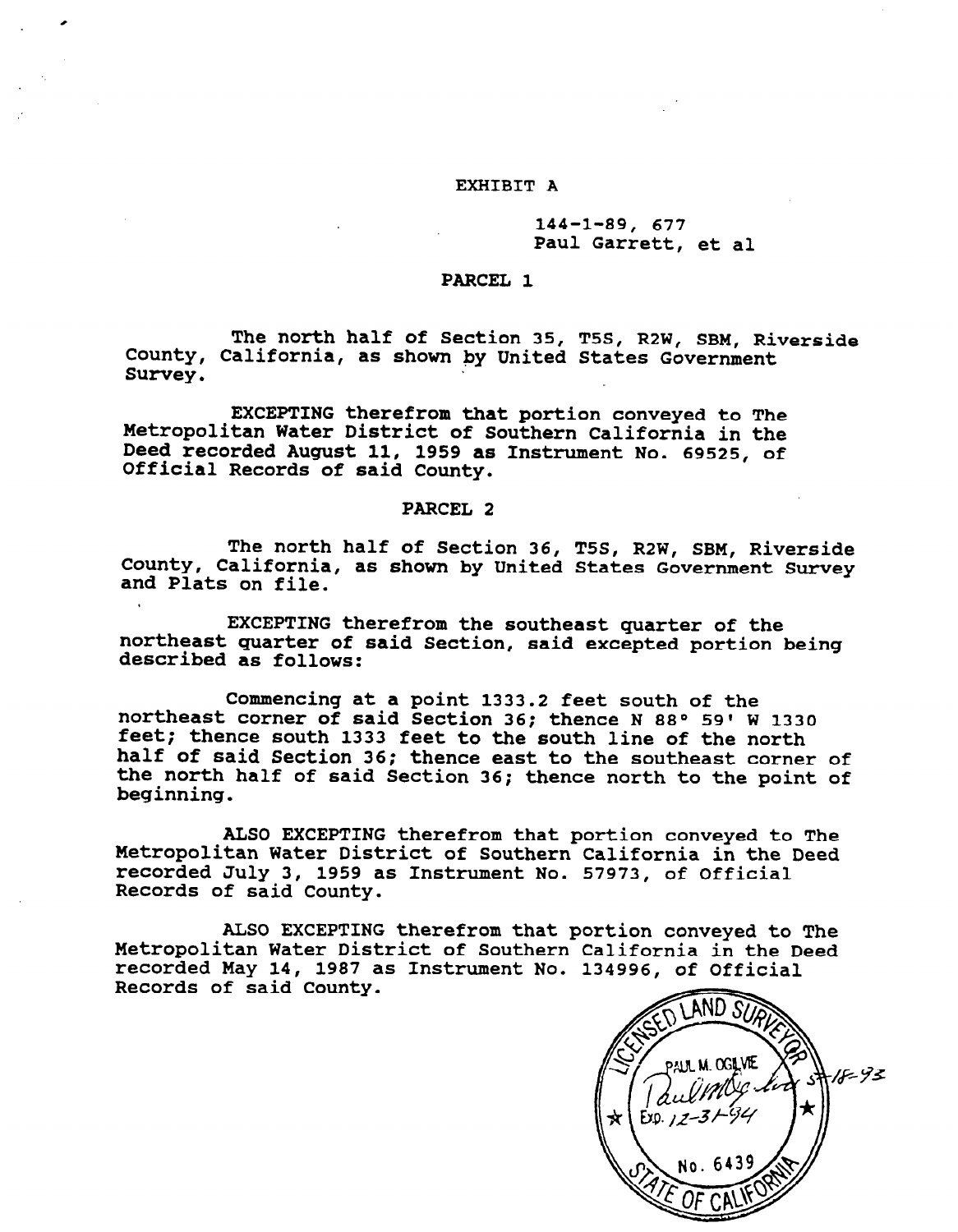### EXHIBIT A

.

## 144-1-89, 677 Paul Garrett, et al

### PARCEL<sub>1</sub>

The north half of Section 35, T5S, R2W, SBM, Rivers County, California, as shown by United States Covernment Survey.

EXCEPTING therefrom that portion conveyed to The Metropolitan Water District of Southern California in the necroporican water bistrict of southern California in the Deed Iecorded August II, 1999 (<br>Official December of caid County

### PARCEL 2

 $\overline{C}$ The north half of Section 36, T5S, Rew SBM, Riverside, The north half of Section 36, T55, R2W, SBM, Riversid county, californ

EXCEPTING therefrom the southeast quarter of the EXCEPTING therefrom the southeast quarter of the northeast quarter of said Section, said excepted portion being described as follows:

Commencing at a point 1333.2 feet south of the commencing at a point 1333.2 feet south of the northeast corner of said Section 36; thence N 88° 59' W 1330 feet; thence south 1333 feet to the south line of the north half of said Section 36; thence east to the southeast corner of the north half of said Section 36; thence north to the point of beginning.

ALSO EXCEPTING therefrom that portion conveyed to The Metropolitan Water District of Southern California in the Deed recorded July 3, 1959 as Instrument No. 57973, of Official Records of said County.

ALSO EXCEPTING therefrom that portion conveyed to The Metropolitan Water District of Southern California in the Deed recorded May 14, 1987 as Instrument No. 134996, of Official Records of said County.

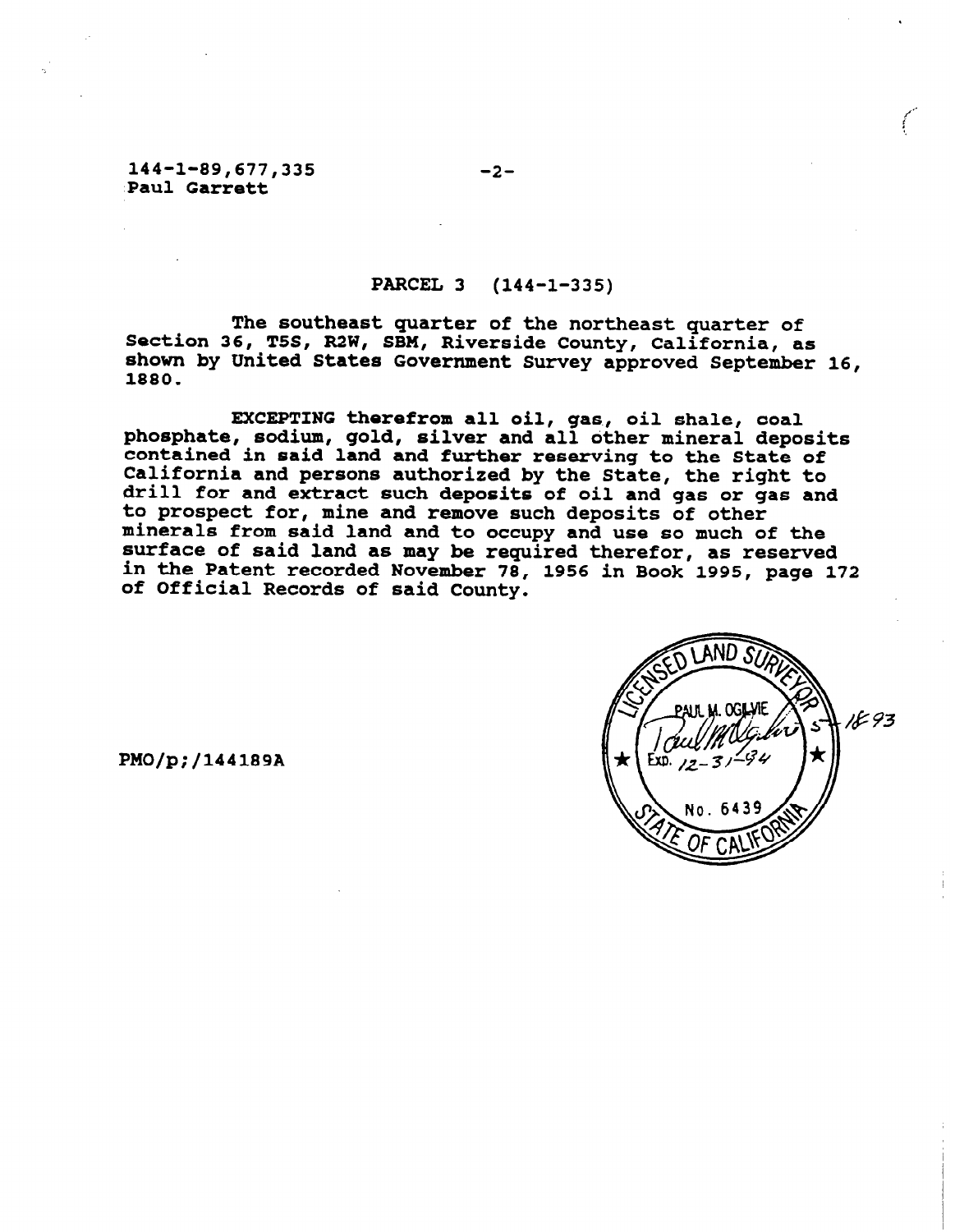### 144-l-89,677,335 Paul Garrett

## PARCEL 3 (144-1-335)

The southeast quarter of the northeast quarter of Section 36, T5S, R2W, SBM, Riverside County, California, as shown by United States Government Survey approved September 16, 1880.

EXCEPTING therefrom all oil, gas, oil shale, coal phosphate, sodium, gold, silver and all other mineral deposi contained in said land and further reserving to the State of California and persons authorized by the State, the right to drill for and extract such deposits of oil and gas or gas and to prospect for, mine and remove such deposits of other minerals from said land and to occupy and use so much of the surface of said land as may be required therefor, as reserved in the Patent recorded November 78, 1956 in Book 1995, page 172 of Official Records of said County.



PMO/p;/144189A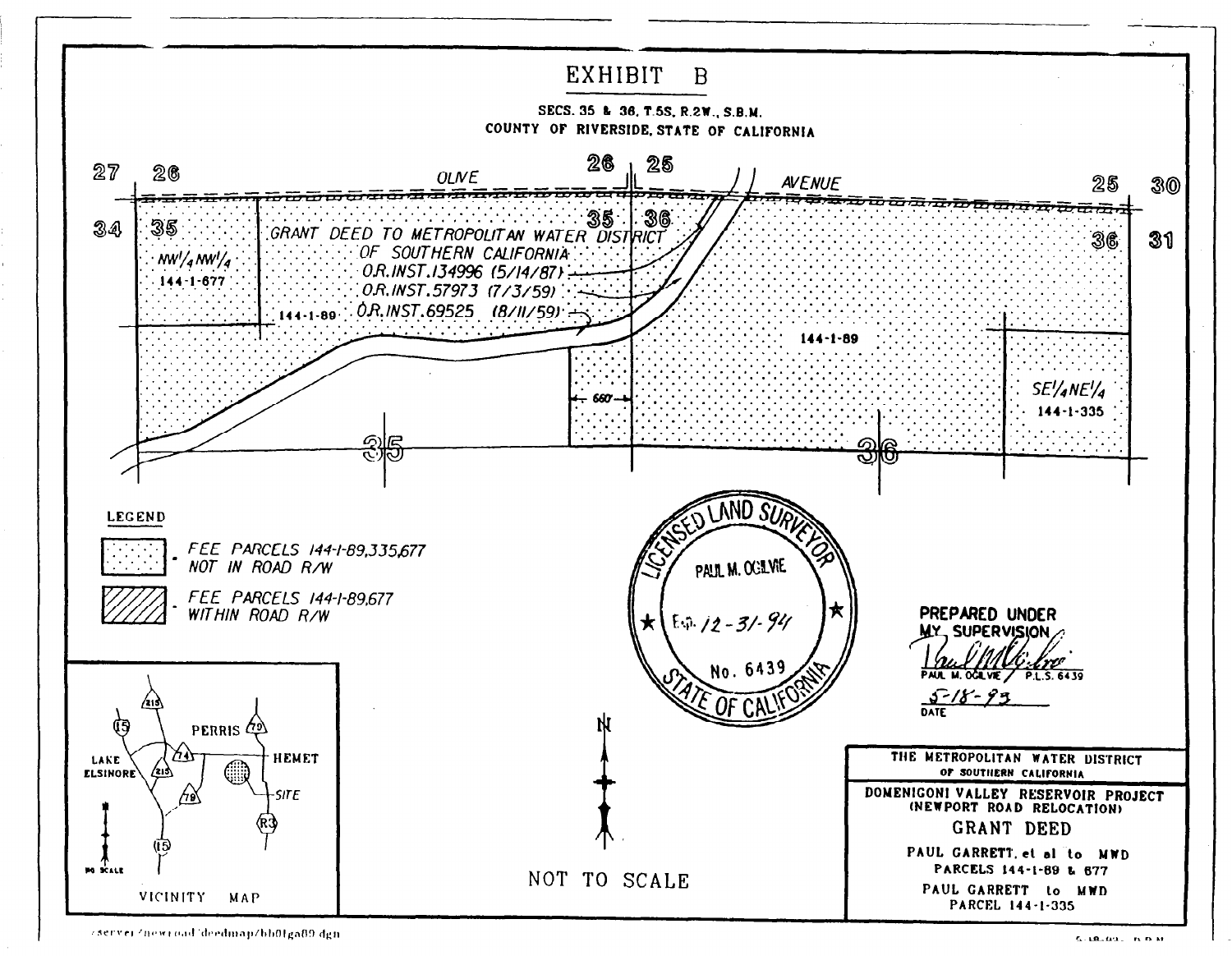

zserver/newroad/deedmap/bb01ga89.dgn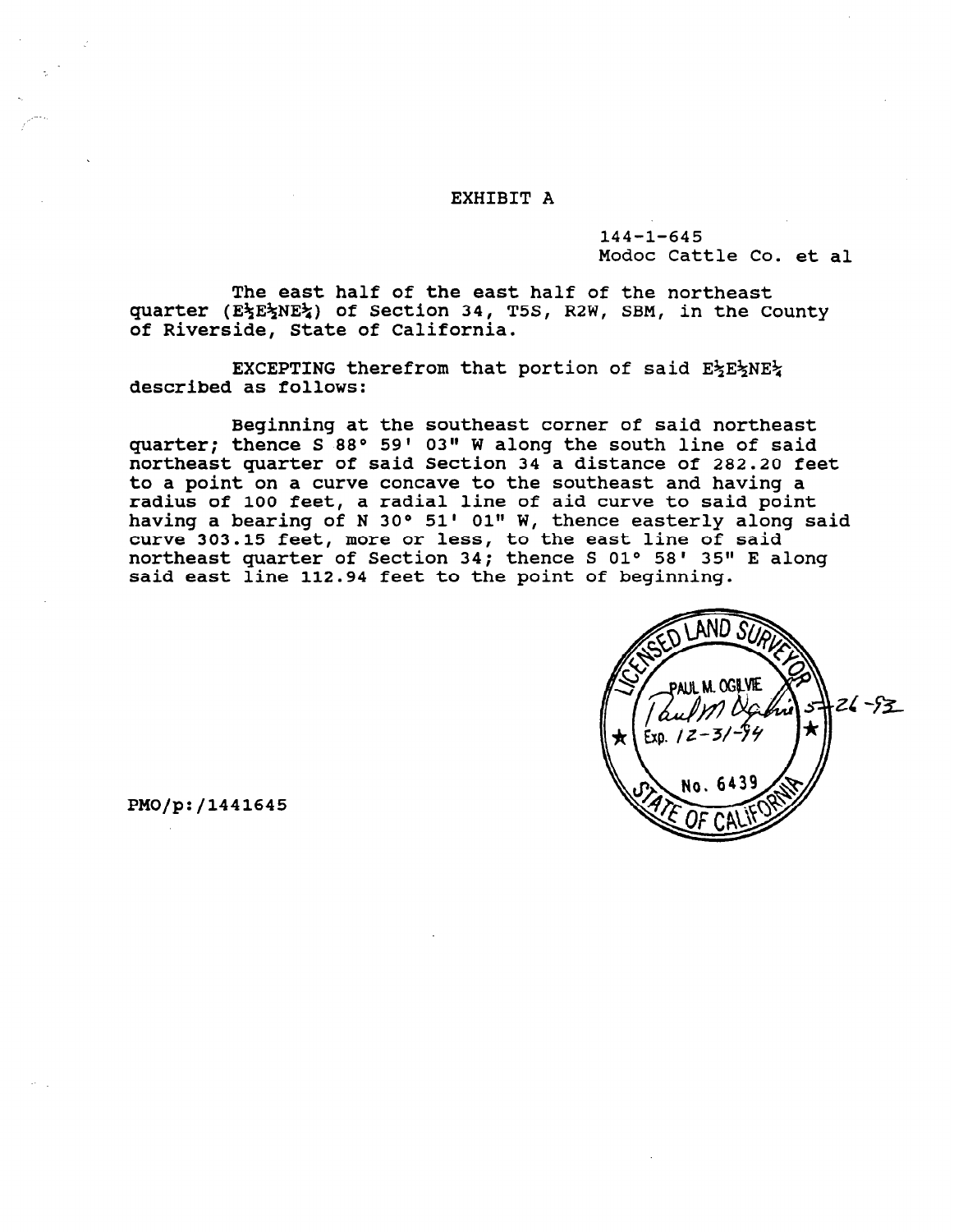### EXHIBIT A

144-1-645 Modoc Cattle Co. et al

The east half of the east half of the northeast quarter (E%E\*NE%) of Section 34, T5S, R2W, SBM, in the County of Riverside, State of California.

EXCEPTING therefrom that portion of said E=E+NE+ described as follows:

Beginning at the southeast corner of said northeast quarter; thence S 88° 59' 03" W along the south line of said northeast quarter of said Section 34 a distance of 282.20 feet to a point on a curve concave to the southeast and having a radius of 100 feet, a radial line of aid curve to said poir having a bearing of N 30° 51' 01" W, thence easterly along said curve 303.15 feet, more or less, to the east line of said northeast quarter of Section 34; thence S 01° 58' 35" E along said east line 112.94 feet to the point of beginning.



PMO/p:/1441645